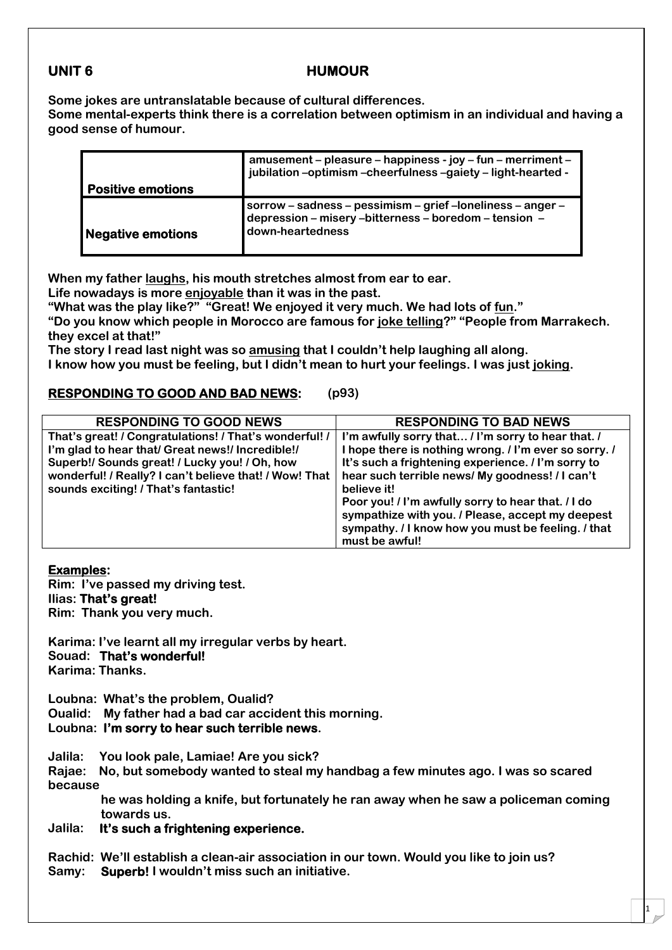# **UNIT 6 HUMOUR**

**Some jokes are untranslatable because of cultural differences.**

**Some mental-experts think there is a correlation between optimism in an individual and having a good sense of humour.**

|                          | amusement – pleasure – happiness - joy – fun – merriment –<br>jubilation-optimism-cheerfulness-gaiety-light-hearted -                    |
|--------------------------|------------------------------------------------------------------------------------------------------------------------------------------|
| <b>Positive emotions</b> |                                                                                                                                          |
| Negative emotions        | sorrow - sadness - pessimism - grief - loneliness - anger -<br>depression - misery -bitterness - boredom - tension -<br>down-heartedness |

**When my father laughs, his mouth stretches almost from ear to ear.**

**Life nowadays is more enjoyable than it was in the past. "What was the play like?" "Great! We enjoyed it very much. We had lots of fun."**

**"Do you know which people in Morocco are famous for joke telling?" "People from Marrakech. they excel at that!"**

**The story I read last night was so amusing that I couldn't help laughing all along.**

**I know how you must be feeling, but I didn't mean to hurt your feelings. I was just joking.**

## **RESPONDING TO GOOD AND BAD NEWS: (p93)**

| <b>RESPONDING TO GOOD NEWS</b>                                                                                                                                                                                                                                | <b>RESPONDING TO BAD NEWS</b>                                                                                                                                                                                                       |  |
|---------------------------------------------------------------------------------------------------------------------------------------------------------------------------------------------------------------------------------------------------------------|-------------------------------------------------------------------------------------------------------------------------------------------------------------------------------------------------------------------------------------|--|
| That's great! / Congratulations! / That's wonderful! /<br>I'm glad to hear that/ Great news!/ Incredible!/<br>Superb!/ Sounds great! / Lucky you! / Oh, how<br>wonderful! / Really? I can't believe that! / Wow! That<br>sounds exciting! / That's fantastic! | I'm awfully sorry that / I'm sorry to hear that. /<br>I hope there is nothing wrong. / I'm ever so sorry. /<br>It's such a frightening experience. / I'm sorry to<br>hear such terrible news/ My goodness! / I can't<br>believe it! |  |
|                                                                                                                                                                                                                                                               | Poor you! / I'm awfully sorry to hear that. / I do<br>sympathize with you. / Please, accept my deepest<br>sympathy. / I know how you must be feeling. / that<br>must be awful!                                                      |  |

### **Examples:**

**Rim: I've passed my driving test. Ilias: That's great!**

**Rim: Thank you very much.**

**Karima: I've learnt all my irregular verbs by heart. Souad: That's wonderful! Karima: Thanks.**

**Loubna: What's the problem, Oualid?**

**Oualid: My father had a bad car accident this morning.**

## **Loubna: I'm sorry to hear such terrible news.**

**Jalila: You look pale, Lamiae! Are you sick?**

**Rajae: No, but somebody wanted to steal my handbag a few minutes ago. I was so scared because**

**he was holding a knife, but fortunately he ran away when he saw a policeman coming towards us.**

## **Jalila: It's such a frightening experience.**

**Rachid: We'll establish a clean-air association in our town. Would you like to join us? Samy: Superb! I wouldn't miss such an initiative.**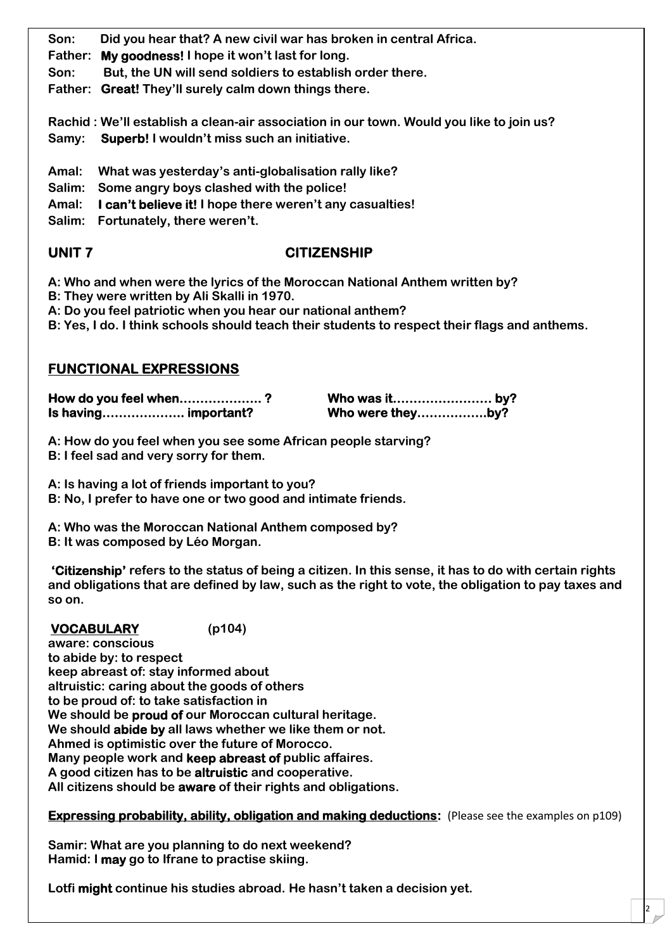**Son: Did you hear that? A new civil war has broken in central Africa.**

- **Father: My goodness! I hope it won't last for long.**
- **Son: But, the UN will send soldiers to establish order there.**

**Father: Great! They'll surely calm down things there.**

**Rachid : We'll establish a clean-air association in our town. Would you like to join us? Samy: Superb! I wouldn't miss such an initiative.**

- **Amal: What was yesterday's anti-globalisation rally like?**
- **Salim: Some angry boys clashed with the police!**
- **Amal: I can't believe it! I hope there weren't any casualties!**
- **Salim: Fortunately, there weren't.**

# **UNIT 7 CITIZENSHIP**

- **A: Who and when were the lyrics of the Moroccan National Anthem written by?**
- **B: They were written by Ali Skalli in 1970.**
- **A: Do you feel patriotic when you hear our national anthem?**
- **B: Yes, I do. I think schools should teach their students to respect their flags and anthems.**

# **FUNCTIONAL EXPRESSIONS**

| How do you feel when? |                  |  |
|-----------------------|------------------|--|
| Is having important?  | Who were theyby? |  |

**A: How do you feel when you see some African people starving?**

**B: I feel sad and very sorry for them.**

**A: Is having a lot of friends important to you?**

- **B: No, I prefer to have one or two good and intimate friends.**
- **A: Who was the Moroccan National Anthem composed by?**

**B: It was composed by Léo Morgan.**

**'Citizenship' refers to the status of being a citizen. In this sense, it has to do with certain rights and obligations that are defined by law, such as the right to vote, the obligation to pay taxes and so on.**

# **VOCABULARY (p104)**

**aware: conscious to abide by: to respect keep abreast of: stay informed about altruistic: caring about the goods of others to be proud of: to take satisfaction in We should be proud of our Moroccan cultural heritage. We should abide by all laws whether we like them or not. Ahmed is optimistic over the future of Morocco. Many people work and keep abreast of public affaires. A good citizen has to be altruistic and cooperative. All citizens should be aware of their rights and obligations.**

## **Expressing probability, ability, obligation and making deductions:** (Please see the examples on p109)

2 |

**Samir: What are you planning to do next weekend? Hamid: I may go to Ifrane to practise skiing.**

**Lotfi might continue his studies abroad. He hasn't taken a decision yet.**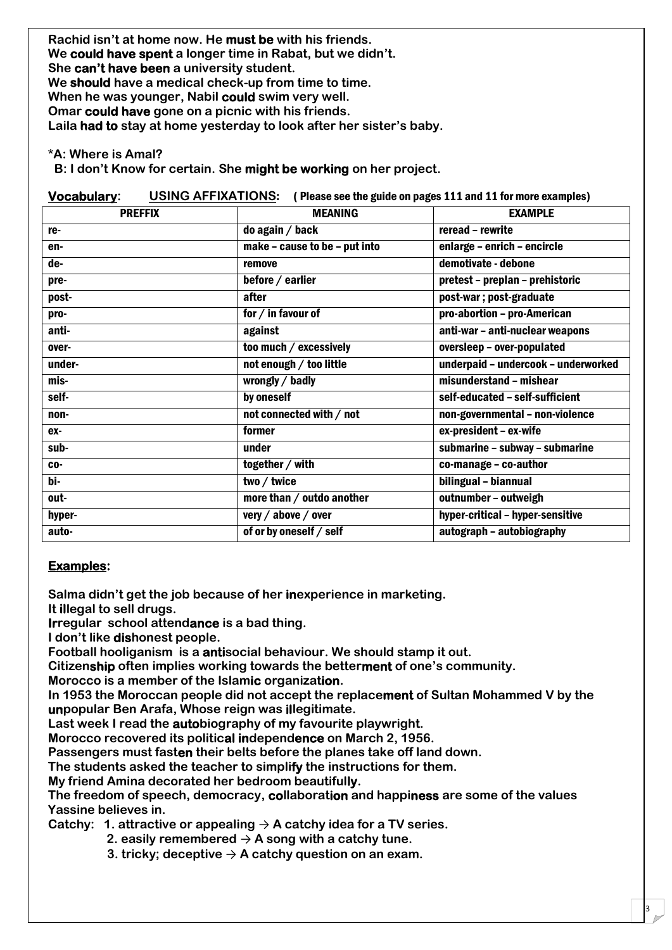**Rachid isn't at home now. He must be with his friends. We could have spent a longer time in Rabat, but we didn't. She can't have been a university student. We should have a medical check-up from time to time. When he was younger, Nabil could swim very well. Omar could have gone on a picnic with his friends. Laila had to stay at home yesterday to look after her sister's baby.**

**\*A: Where is Amal?**

**B: I don't Know for certain. She might be working on her project.**

| <b>USING AFFIXATIONS:</b> (Please see the guide on pages 111 and 11 for more examples)<br><b>Vocabulary:</b> |                               |                                     |  |  |
|--------------------------------------------------------------------------------------------------------------|-------------------------------|-------------------------------------|--|--|
| <b>PREFFIX</b>                                                                                               | <b>MEANING</b>                | <b>EXAMPLE</b>                      |  |  |
| re-                                                                                                          | do again / back               | reread - rewrite                    |  |  |
| en-                                                                                                          | make - cause to be - put into | enlarge - enrich - encircle         |  |  |
| de-                                                                                                          | remove                        | demotivate - debone                 |  |  |
| pre-                                                                                                         | before / earlier              | pretest - preplan - prehistoric     |  |  |
| post-                                                                                                        | after                         | post-war; post-graduate             |  |  |
| pro-                                                                                                         | for / in favour of            | pro-abortion - pro-American         |  |  |
| anti-                                                                                                        | against                       | anti-war - anti-nuclear weapons     |  |  |
| over-                                                                                                        | too much / excessively        | oversleep - over-populated          |  |  |
| under-                                                                                                       | not enough / too little       | underpaid - undercook - underworked |  |  |
| mis-                                                                                                         | wrongly / badly               | misunderstand - mishear             |  |  |
| self-                                                                                                        | by oneself                    | self-educated - self-sufficient     |  |  |
| non-                                                                                                         | not connected with / not      | non-governmental - non-violence     |  |  |
| ex-                                                                                                          | former                        | ex-president - ex-wife              |  |  |
| sub-                                                                                                         | under                         | submarine - subway - submarine      |  |  |
| $CO -$                                                                                                       | together / with               | co-manage - co-author               |  |  |
| $\overline{b}$ i-                                                                                            | two / twice                   | bilingual - biannual                |  |  |
| out-                                                                                                         | more than / outdo another     | outnumber - outweigh                |  |  |
| hyper-                                                                                                       | very / above / over           | hyper-critical - hyper-sensitive    |  |  |
| auto-                                                                                                        | of or by oneself / self       | autograph - autobiography           |  |  |

## **Examples:**

**Salma didn't get the job because of her inexperience in marketing.**

**It illegal to sell drugs.**

**Irregular school attendance is a bad thing.**

**I don't like dishonest people.**

**Football hooliganism is a antisocial behaviour. We should stamp it out.**

**Citizenship often implies working towards the betterment of one's community.**

**Morocco is a member of the Islamic organization.**

**In 1953 the Moroccan people did not accept the replacement of Sultan Mohammed V by the unpopular Ben Arafa, Whose reign was illegitimate.**

**Last week I read the autobiography of my favourite playwright.**

**Morocco recovered its political independence on March 2, 1956.**

**Passengers must fasten their belts before the planes take off land down.**

**The students asked the teacher to simplify the instructions for them.**

**My friend Amina decorated her bedroom beautifully.**

**The freedom of speech, democracy, collaboration and happiness are some of the values Yassine believes in.**

3

**Catchy: 1. attractive or appealing**  $\rightarrow$  **A catchy idea for a TV series.** 

- 2. easily remembered  $\rightarrow$  A song with a catchy tune.
- **3. tricky; deceptive**  $\rightarrow$  **A catchy question on an exam.**